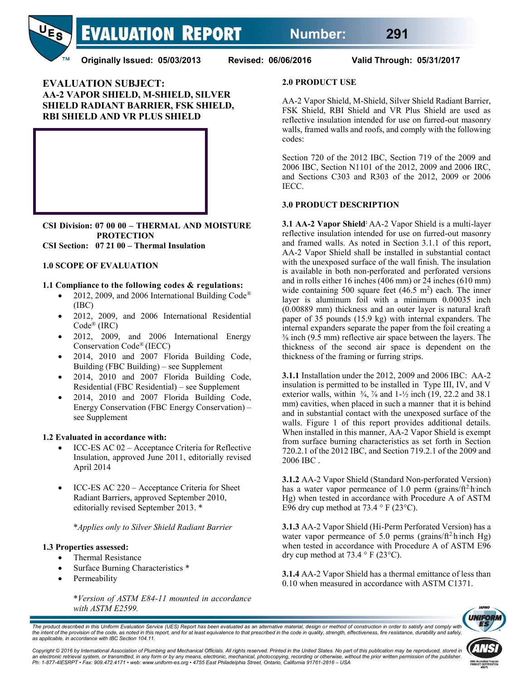

**Originally Issued: 05/03/2013 Revised: 06/06/2016 Valid Through: 05/31/2017**

## **EVALUATION SUBJECT: AA-2 VAPOR SHIELD, M-SHIELD, SILVER SHIELD RADIANT BARRIER, FSK SHIELD, RBI SHIELD AND VR PLUS SHIELD**



**CSI Division: 07 00 00 – THERMAL AND MOISTURE PROTECTION**

**CSI Section: 07 21 00 – Thermal Insulation**

### **1.0 SCOPE OF EVALUATION**

### **1.1 Compliance to the following codes & regulations:**

- 2012, 2009, and 2006 International Building Code® (IBC)
- x 2012, 2009, and 2006 International Residential Code® (IRC)
- x 2012, 2009, and 2006 International Energy Conservation Code® (IECC)
- x 2014, 2010 and 2007 Florida Building Code, Building (FBC Building) – see Supplement
- x 2014, 2010 and 2007 Florida Building Code, Residential (FBC Residential) – see Supplement
- 2014, 2010 and 2007 Florida Building Code, Energy Conservation (FBC Energy Conservation) – see Supplement

### **1.2 Evaluated in accordance with:**

- ICC-ES AC 02 Acceptance Criteria for Reflective Insulation, approved June 2011, editorially revised April 2014
- ICC-ES AC 220 Acceptance Criteria for Sheet Radiant Barriers, approved September 2010, editorially revised September 2013. \*

\**Applies only to Silver Shield Radiant Barrier*

### **1.3 Properties assessed:**

- Thermal Resistance
- Surface Burning Characteristics \*
- Permeability

\**Version of ASTM E84-11 mounted in accordance with ASTM E2599.*

### **2.0 PRODUCT USE**

AA-2 Vapor Shield, M-Shield, Silver Shield Radiant Barrier, FSK Shield, RBI Shield and VR Plus Shield are used as reflective insulation intended for use on furred-out masonry walls, framed walls and roofs, and comply with the following codes:

Section 720 of the 2012 IBC, Section 719 of the 2009 and 2006 IBC, Section N1101 of the 2012, 2009 and 2006 IRC, and Sections C303 and R303 of the 2012, 2009 or 2006 IECC.

## **3.0 PRODUCT DESCRIPTION**

**3.1 AA-2 Vapor Shield:** AA-2 Vapor Shield is a multi-layer reflective insulation intended for use on furred-out masonry and framed walls. As noted in Section 3.1.1 of this report, AA-2 Vapor Shield shall be installed in substantial contact with the unexposed surface of the wall finish. The insulation is available in both non-perforated and perforated versions and in rolls either 16 inches (406 mm) or 24 inches (610 mm) wide containing 500 square feet  $(46.5 \text{ m}^2)$  each. The inner layer is aluminum foil with a minimum 0.00035 inch (0.00889 mm) thickness and an outer layer is natural kraft paper of 35 pounds (15.9 kg) with internal expanders. The internal expanders separate the paper from the foil creating a ⅜ inch (9.5 mm) reflective air space between the layers. The thickness of the second air space is dependent on the thickness of the framing or furring strips.

**3.1.1** Installation under the 2012, 2009 and 2006 IBC: AA-2 insulation is permitted to be installed in Type III, IV, and V exterior walls, within  $\frac{3}{4}$ ,  $\frac{7}{8}$  and  $1-\frac{1}{2}$  inch (19, 22.2 and 38.1) mm) cavities, when placed in such a manner that it is behind and in substantial contact with the unexposed surface of the walls. Figure 1 of this report provides additional details. When installed in this manner, AA-2 Vapor Shield is exempt from surface burning characteristics as set forth in Section 720.2.1 of the 2012 IBC, and Section 719.2.1 of the 2009 and 2006 IBC .

**3.1.2** AA-2 Vapor Shield (Standard Non-perforated Version) has a water vapor permeance of 1.0 perm (grains/ft<sup>2</sup> h inch Hg) when tested in accordance with Procedure A of ASTM E96 dry cup method at  $73.4 \degree$  F (23 $\degree$ C).

**3.1.3** AA-2 Vapor Shield (Hi-Perm Perforated Version) has a water vapor permeance of 5.0 perms (grains/ $ft^2$ hinch Hg) when tested in accordance with Procedure A of ASTM E96 dry cup method at  $73.4 \degree$  F (23 $\degree$ C).

**3.1.4** AA-2 Vapor Shield has a thermal emittance of less than 0.10 when measured in accordance with ASTM C1371.



The product described in this Uniform Evaluation Service (UES) Report has been evaluated as an alternative material, design or method of construction in order to satisfy and comply with the intent of the provision of the code, as noted in this report, and for at least equivalence to that prescribed in the code in quality, strength, effectiveness, fire resistance, durability and safely,<br>as applicable, in a

*Copyright © 2016 by International Association of Plumbing and Mechanical Officials. All rights reserved. Printed in the United States. No part of this publication may be reproduced, stored in*  an electronic retrieval system, or transmitted, in any form or by any means, electronic, mechanical, photocopying, recording or otherwise, without the prior written permission of the publisher.<br>Ph: 1-877-4IESRPT • Fax: 909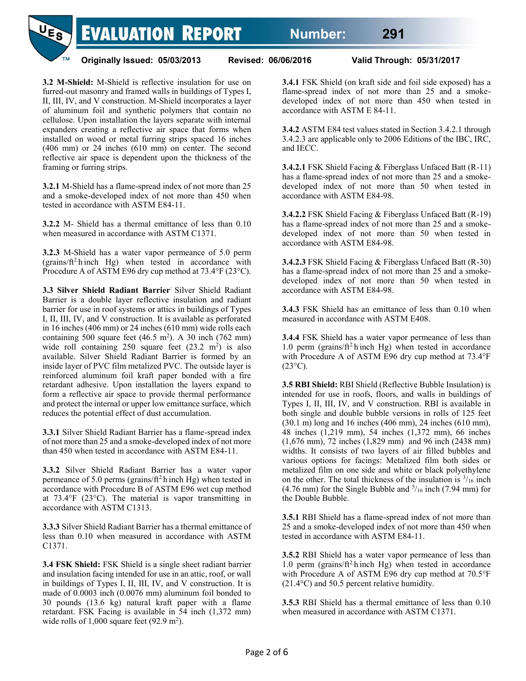

**Originally Issued: 05/03/2013 Revised: 06/06/2016 Valid Through: 05/31/2017**

**3.2 M-Shield:** M-Shield is reflective insulation for use on furred-out masonry and framed walls in buildings of Types I, II, III, IV, and V construction. M-Shield incorporates a layer of aluminum foil and synthetic polymers that contain no cellulose. Upon installation the layers separate with internal expanders creating a reflective air space that forms when installed on wood or metal furring strips spaced 16 inches (406 mm) or 24 inches (610 mm) on center. The second reflective air space is dependent upon the thickness of the framing or furring strips.

**3.2.1** M-Shield has a flame-spread index of not more than 25 and a smoke-developed index of not more than 450 when tested in accordance with ASTM E84-11.

**3.2.2** M- Shield has a thermal emittance of less than 0.10 when measured in accordance with ASTM C1371.

**3.2.3** M-Shield has a water vapor permeance of 5.0 perm (grains/ft<sup>2</sup> h inch Hg) when tested in accordance with Procedure A of ASTM E96 dry cup method at 73.4°F (23°C).

**3.3 Silver Shield Radiant Barrier**: Silver Shield Radiant Barrier is a double layer reflective insulation and radiant barrier for use in roof systems or attics in buildings of Types I, II, III, IV, and V construction. It is available as perforated in 16 inches (406 mm) or 24 inches (610 mm) wide rolls each containing 500 square feet  $(46.5 \text{ m}^2)$ . A 30 inch  $(762 \text{ mm})$ wide roll containing  $250$  square feet  $(23.2 \text{ m}^2)$  is also available. Silver Shield Radiant Barrier is formed by an inside layer of PVC film metalized PVC. The outside layer is reinforced aluminum foil kraft paper bonded with a fire retardant adhesive. Upon installation the layers expand to form a reflective air space to provide thermal performance and protect the internal or upper low emittance surface, which reduces the potential effect of dust accumulation.

**3.3.1** Silver Shield Radiant Barrier has a flame-spread index of not more than 25 and a smoke-developed index of not more than 450 when tested in accordance with ASTM E84-11.

**3.3.2** Silver Shield Radiant Barrier has a water vapor permeance of 5.0 perms (grains/ $ft^2$ h inch Hg) when tested in accordance with Procedure B of ASTM E96 wet cup method at 73.4°F (23°C). The material is vapor transmitting in accordance with ASTM C1313.

**3.3.3** Silver Shield Radiant Barrier has a thermal emittance of less than 0.10 when measured in accordance with ASTM C1371.

**3.4 FSK Shield:** FSK Shield is a single sheet radiant barrier and insulation facing intended for use in an attic, roof, or wall in buildings of Types I, II, III, IV, and V construction. It is made of 0.0003 inch (0.0076 mm) aluminum foil bonded to 30 pounds (13.6 kg) natural kraft paper with a flame retardant. FSK Facing is available in 54 inch (1,372 mm) wide rolls of  $1,000$  square feet  $(92.9 \text{ m}^2)$ .

**3.4.1** FSK Shield (on kraft side and foil side exposed) has a flame-spread index of not more than 25 and a smokedeveloped index of not more than 450 when tested in accordance with ASTM E 84-11.

**3.4.2** ASTM E84 test values stated in Section 3.4.2.1 through 3.4.2.3 are applicable only to 2006 Editions of the IBC, IRC, and IECC.

**3.4.2.1** FSK Shield Facing & Fiberglass Unfaced Batt (R-11) has a flame-spread index of not more than 25 and a smokedeveloped index of not more than 50 when tested in accordance with ASTM E84-98.

**3.4.2.2** FSK Shield Facing & Fiberglass Unfaced Batt (R-19) has a flame-spread index of not more than 25 and a smokedeveloped index of not more than 50 when tested in accordance with ASTM E84-98.

**3.4.2.3** FSK Shield Facing & Fiberglass Unfaced Batt (R-30) has a flame-spread index of not more than 25 and a smokedeveloped index of not more than 50 when tested in accordance with ASTM E84-98.

**3.4.3** FSK Shield has an emittance of less than 0.10 when measured in accordance with ASTM E408.

**3.4.4** FSK Shield has a water vapor permeance of less than 1.0 perm (grains/ $ft^2$ h inch Hg) when tested in accordance with Procedure A of ASTM E96 dry cup method at 73.4°F  $(23^{\circ}C)$ .

**3.5 RBI Shield:** RBI Shield (Reflective Bubble Insulation) is intended for use in roofs, floors, and walls in buildings of Types I, II, III, IV, and V construction. RBI is available in both single and double bubble versions in rolls of 125 feet (30.1 m) long and 16 inches (406 mm), 24 inches (610 mm), 48 inches (1,219 mm), 54 inches (1,372 mm), 66 inches (1,676 mm), 72 inches (1,829 mm) and 96 inch (2438 mm) widths. It consists of two layers of air filled bubbles and various options for facings: Metalized film both sides or metalized film on one side and white or black polyethylene on the other. The total thickness of the insulation is  $\frac{3}{16}$  inch (4.76 mm) for the Single Bubble and  $\frac{5}{16}$  inch (7.94 mm) for the Double Bubble.

**3.5.1** RBI Shield has a flame-spread index of not more than 25 and a smoke-developed index of not more than 450 when tested in accordance with ASTM E84-11.

**3.5.2** RBI Shield has a water vapor permeance of less than 1.0 perm (grains/ $ft^2$ h inch Hg) when tested in accordance with Procedure A of ASTM E96 dry cup method at 70.5°F (21.4°C) and 50.5 percent relative humidity.

**3.5.3** RBI Shield has a thermal emittance of less than 0.10 when measured in accordance with ASTM C1371.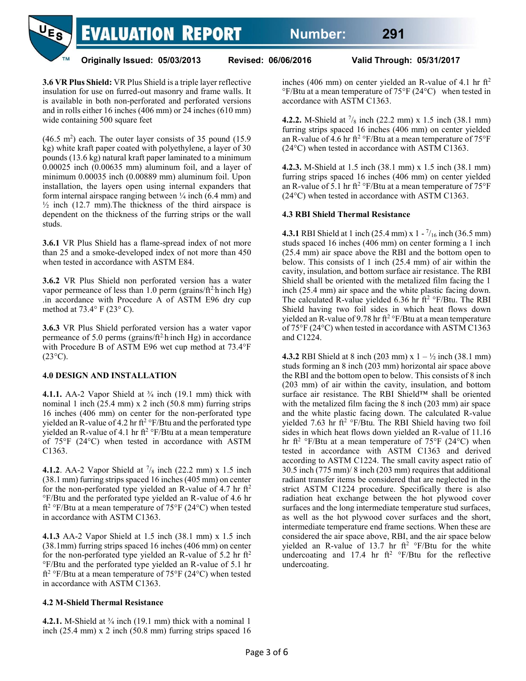

**3.6 VR Plus Shield:** VR Plus Shield is a triple layer reflective insulation for use on furred-out masonry and frame walls. It is available in both non-perforated and perforated versions and in rolls either 16 inches (406 mm) or 24 inches (610 mm) wide containing 500 square feet

 $(46.5 \text{ m}^2)$  each. The outer layer consists of 35 pound  $(15.9 \text{ m}^2)$ kg) white kraft paper coated with polyethylene, a layer of 30 pounds (13.6 kg) natural kraft paper laminated to a minimum 0.00025 inch (0.00635 mm) aluminum foil, and a layer of minimum 0.00035 inch (0.00889 mm) aluminum foil. Upon installation, the layers open using internal expanders that form internal airspace ranging between  $\frac{1}{4}$  inch (6.4 mm) and  $\frac{1}{2}$  inch (12.7 mm). The thickness of the third airspace is dependent on the thickness of the furring strips or the wall studs.

**3.6.1** VR Plus Shield has a flame-spread index of not more than 25 and a smoke-developed index of not more than 450 when tested in accordance with ASTM E84.

**3.6.2** VR Plus Shield non perforated version has a water vapor permeance of less than  $1.0$  perm (grains/ft<sup>2</sup>-h-inch Hg) .in accordance with Procedure A of ASTM E96 dry cup method at 73.4° F (23° C).

**3.6.3** VR Plus Shield perforated version has a water vapor permeance of 5.0 perms (grains/ $ft^2$ h inch Hg) in accordance with Procedure B of ASTM E96 wet cup method at 73.4°F  $(23^{\circ}C)$ .

#### **4.0 DESIGN AND INSTALLATION**

**4.1.1.** AA-2 Vapor Shield at <sup>3</sup>/<sub>4</sub> inch (19.1 mm) thick with nominal 1 inch  $(25.4 \text{ mm}) \times 2$  inch  $(50.8 \text{ mm})$  furring strips 16 inches (406 mm) on center for the non-perforated type yielded an R-value of 4.2 hr ft<sup>2</sup> °F/Btu and the perforated type yielded an R-value of 4.1 hr ft<sup>2</sup>  $\rm F/Btu$  at a mean temperature of 75°F (24°C) when tested in accordance with ASTM C1363.

**4.1.2**. AA-2 Vapor Shield at  $\frac{7}{8}$  inch (22.2 mm) x 1.5 inch (38.1 mm) furring strips spaced 16 inches (405 mm) on center for the non-perforated type yielded an R-value of 4.7 hr  $\mathrm{ft}^2$ °F/Btu and the perforated type yielded an R-value of 4.6 hr ft<sup>2</sup> °F/Btu at a mean temperature of 75°F (24°C) when tested in accordance with ASTM C1363.

**4.1.3** AA-2 Vapor Shield at 1.5 inch (38.1 mm) x 1.5 inch (38.1mm) furring strips spaced 16 inches (406 mm) on center for the non-perforated type yielded an R-value of 5.2 hr  $ft<sup>2</sup>$ °F/Btu and the perforated type yielded an R-value of 5.1 hr ft<sup>2</sup> °F/Btu at a mean temperature of 75°F (24°C) when tested in accordance with ASTM C1363.

### **4.2 M-ShieldThermal Resistance**

**4.2.1.** M-Shield at <sup>3</sup>/<sub>4</sub> inch (19.1 mm) thick with a nominal 1 inch (25.4 mm) x 2 inch (50.8 mm) furring strips spaced 16 inches (406 mm) on center yielded an R-value of 4.1 hr  $\mathrm{ft}^2$  $\rm{°F/B}$ tu at a mean temperature of 75 $\rm{°F}$  (24 $\rm{°C}$ ) when tested in accordance with ASTM C1363.

**4.2.2.** M-Shield at  $\frac{7}{8}$  inch (22.2 mm) x 1.5 inch (38.1 mm) furring strips spaced 16 inches (406 mm) on center yielded an R-value of 4.6 hr ft<sup>2</sup> °F/Btu at a mean temperature of  $75^{\circ}$ F (24°C) when tested in accordance with ASTM C1363.

**4.2.3.** M-Shield at 1.5 inch (38.1 mm) x 1.5 inch (38.1 mm) furring strips spaced 16 inches (406 mm) on center yielded an R-value of 5.1 hr ft<sup>2</sup> °F/Btu at a mean temperature of  $75$ °F (24°C) when tested in accordance with ASTM C1363.

#### **4.3 RBI Shield Thermal Resistance**

**4.3.1** RBI Shield at 1 inch (25.4 mm) x 1 -  $\frac{7}{16}$  inch (36.5 mm) studs spaced 16 inches (406 mm) on center forming a 1 inch (25.4 mm) air space above the RBI and the bottom open to below. This consists of 1 inch (25.4 mm) of air within the cavity, insulation, and bottom surface air resistance. The RBI Shield shall be oriented with the metalized film facing the 1 inch (25.4 mm) air space and the white plastic facing down. The calculated R-value yielded 6.36 hr  $ft^2$  °F/Btu. The RBI Shield having two foil sides in which heat flows down yielded an R-value of 9.78 hr ft<sup>2</sup> °F/Btu at a mean temperature of 75°F (24°C) when tested in accordance with ASTM C1363 and C1224.

**4.3.2** RBI Shield at 8 inch (203 mm)  $x = 1 - \frac{1}{2}$  inch (38.1 mm) studs forming an 8 inch (203 mm) horizontal air space above the RBI and the bottom open to below. This consists of 8 inch (203 mm) of air within the cavity, insulation, and bottom surface air resistance. The RBI Shield™ shall be oriented with the metalized film facing the 8 inch (203 mm) air space and the white plastic facing down. The calculated R-value yielded 7.63 hr ft<sup>2</sup> °F/Btu. The RBI Shield having two foil sides in which heat flows down yielded an R-value of 11.16 hr ft<sup>2</sup> °F/Btu at a mean temperature of 75°F (24°C) when tested in accordance with ASTM C1363 and derived according to ASTM C1224. The small cavity aspect ratio of 30.5 inch (775 mm)/ 8 inch (203 mm) requires that additional radiant transfer items be considered that are neglected in the strict ASTM C1224 procedure. Specifically there is also radiation heat exchange between the hot plywood cover surfaces and the long intermediate temperature stud surfaces, as well as the hot plywood cover surfaces and the short, intermediate temperature end frame sections. When these are considered the air space above, RBI, and the air space below yielded an R-value of 13.7 hr  $ft^2$  °F/Btu for the white undercoating and 17.4 hr ft<sup>2</sup>  $\degree$ F/Btu for the reflective undercoating.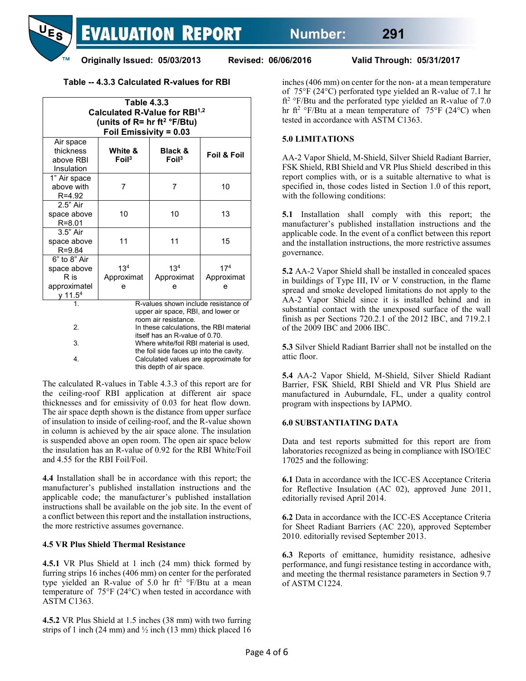

## **Table -- 4.3.3 Calculated R-values for RBI**

| <b>Table 4.3.3</b><br>Calculated R-Value for RBI <sup>1,2</sup><br>(units of $R = hr ft^2 °F/Btu$ )<br><b>Foil Emissivity = 0.03</b> |                                                                                                                                                                                                                           |                                            |                                    |
|--------------------------------------------------------------------------------------------------------------------------------------|---------------------------------------------------------------------------------------------------------------------------------------------------------------------------------------------------------------------------|--------------------------------------------|------------------------------------|
| Air space<br>thickness<br>above RBI<br>Insulation                                                                                    | White &<br>$F$ oil <sup>3</sup>                                                                                                                                                                                           | <b>Black &amp;</b><br>$F$ oil <sup>3</sup> | <b>Foil &amp; Foil</b>             |
| 1" Air space<br>above with<br>R=4.92                                                                                                 | 7                                                                                                                                                                                                                         | 7                                          | 10                                 |
| 2.5" Air<br>space above<br>$R = 8.01$                                                                                                | 10                                                                                                                                                                                                                        | 10                                         | 13                                 |
| $3.5"$ Air<br>space above<br>$R = 9.84$                                                                                              | 11                                                                                                                                                                                                                        | 11                                         | 15                                 |
| 6" to 8" Air<br>space above<br>R is<br>approximatel<br>y 11.5 <sup>4</sup>                                                           | 13 <sup>4</sup><br>Approximat<br>e                                                                                                                                                                                        | 13 <sup>4</sup><br>Approximat<br>e         | 17 <sup>4</sup><br>Approximat<br>e |
| 1.<br>2.<br>3.                                                                                                                       | R-values shown include resistance of<br>upper air space, RBI, and lower or<br>room air resistance.<br>In these calculations, the RBI material<br>itself has an R-value of 0.70.<br>Where white/foil RBI material is used, |                                            |                                    |
| 4.                                                                                                                                   | the foil side faces up into the cavity.<br>Calculated values are approximate for<br>this depth of air space.                                                                                                              |                                            |                                    |

The calculated R-values in Table 4.3.3 of this report are for the ceiling-roof RBI application at different air space thicknesses and for emissivity of 0.03 for heat flow down. The air space depth shown is the distance from upper surface of insulation to inside of ceiling-roof, and the R-value shown in column is achieved by the air space alone. The insulation is suspended above an open room. The open air space below the insulation has an R-value of 0.92 for the RBI White/Foil and 4.55 for the RBI Foil/Foil.

**4.4** Installation shall be in accordance with this report; the manufacturer's published installation instructions and the applicable code; the manufacturer's published installation instructions shall be available on the job site. In the event of a conflict between this report and the installation instructions, the more restrictive assumes governance.

### **4.5 VR Plus Shield Thermal Resistance**

**4.5.1** VR Plus Shield at 1 inch (24 mm) thick formed by furring strips 16 inches (406 mm) on center for the perforated type yielded an R-value of 5.0 hr ft<sup>2</sup> °F/Btu at a mean temperature of 75°F (24°C) when tested in accordance with ASTM C1363.

**4.5.2** VR Plus Shield at 1.5 inches (38 mm) with two furring strips of 1 inch (24 mm) and  $\frac{1}{2}$  inch (13 mm) thick placed 16

inches (406 mm) on center for the non- at a mean temperature of 75°F (24°C) perforated type yielded an R-value of 7.1 hr ft<sup>2</sup> °F/Btu and the perforated type yielded an R-value of 7.0 hr ft<sup>2</sup> °F/Btu at a mean temperature of  $75$ °F (24°C) when tested in accordance with ASTM C1363.

## **5.0 LIMITATIONS**

AA-2 Vapor Shield, M-Shield, Silver Shield Radiant Barrier, FSK Shield, RBI Shield and VR Plus Shield described in this report complies with, or is a suitable alternative to what is specified in, those codes listed in Section 1.0 of this report, with the following conditions:

**5.1** Installation shall comply with this report; the manufacturer's published installation instructions and the applicable code. In the event of a conflict between this report and the installation instructions, the more restrictive assumes governance.

**5.2** AA-2 Vapor Shield shall be installed in concealed spaces in buildings of Type III, IV or V construction, in the flame spread and smoke developed limitations do not apply to the AA-2 Vapor Shield since it is installed behind and in substantial contact with the unexposed surface of the wall finish as per Sections 720.2.1 of the 2012 IBC, and 719.2.1 of the 2009 IBC and 2006 IBC.

**5.3** Silver Shield Radiant Barrier shall not be installed on the attic floor.

**5.4** AA-2 Vapor Shield, M-Shield, Silver Shield Radiant Barrier, FSK Shield, RBI Shield and VR Plus Shield are manufactured in Auburndale, FL, under a quality control program with inspections by IAPMO.

### **6.0 SUBSTANTIATING DATA**

Data and test reports submitted for this report are from laboratories recognized as being in compliance with ISO/IEC 17025 and the following:

**6.1** Data in accordance with the ICC-ES Acceptance Criteria for Reflective Insulation (AC 02), approved June 2011, editorially revised April 2014.

**6.2** Data in accordance with the ICC-ES Acceptance Criteria for Sheet Radiant Barriers (AC 220), approved September 2010. editorially revised September 2013.

**6.3** Reports of emittance, humidity resistance, adhesive performance, and fungi resistance testing in accordance with, and meeting the thermal resistance parameters in Section 9.7 of ASTM C1224.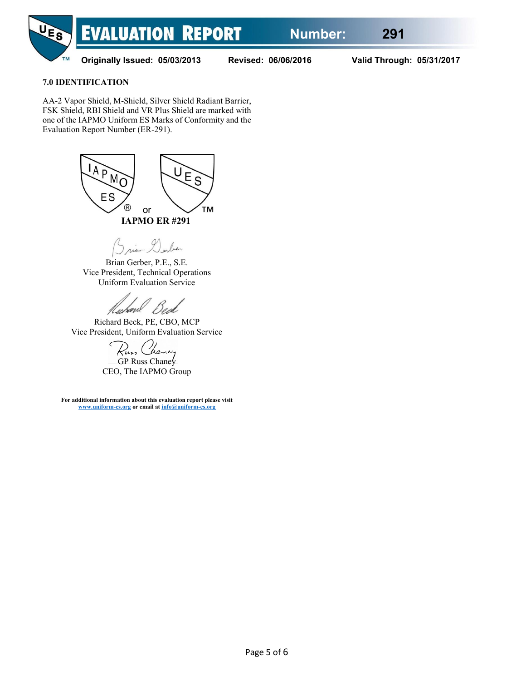

**Originally Issued: 05/03/2013 Revised: 06/06/2016 Valid Through: 05/31/2017**

## **7.0 IDENTIFICATION**

AA-2 Vapor Shield, M-Shield, Silver Shield Radiant Barrier, FSK Shield, RBI Shield and VR Plus Shield are marked with one of the IAPMO Uniform ES Marks of Conformity and the Evaluation Report Number (ER-291).



rian Dorber

Brian Gerber, P.E., S.E. Vice President, Technical Operations Uniform Evaluation Service

Huhave

Richard Beck, PE, CBO, MCP Vice President, Uniform Evaluation Service

GP Russ Chane $\sqrt{}$ CEO, The IAPMO Group

**For additional information about this evaluation report please visit [www.uniform-es.org](http://www.uniform-es.org/) or email a[t info@uniform-es.org](mailto:info@uniform-es.org)**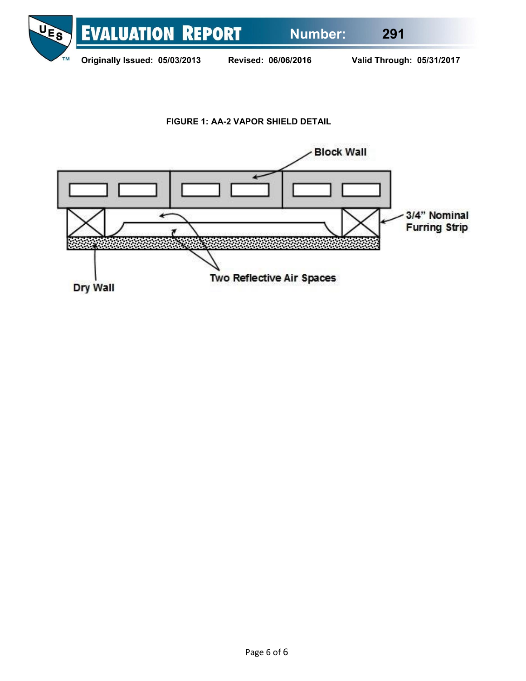

**FIGURE 1: AA-2 VAPOR SHIELD DETAIL**